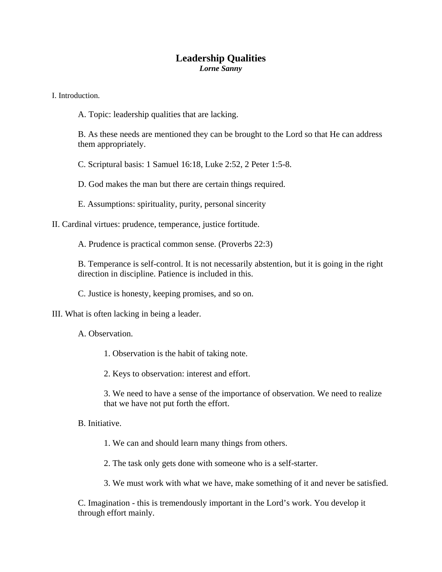## **Leadership Qualities**  *Lorne Sanny*

I. Introduction.

A. Topic: leadership qualities that are lacking.

B. As these needs are mentioned they can be brought to the Lord so that He can address them appropriately.

C. Scriptural basis: 1 Samuel 16:18, Luke 2:52, 2 Peter 1:5-8.

D. God makes the man but there are certain things required.

E. Assumptions: spirituality, purity, personal sincerity

II. Cardinal virtues: prudence, temperance, justice fortitude.

A. Prudence is practical common sense. (Proverbs 22:3)

B. Temperance is self-control. It is not necessarily abstention, but it is going in the right direction in discipline. Patience is included in this.

C. Justice is honesty, keeping promises, and so on.

III. What is often lacking in being a leader.

A. Observation.

1. Observation is the habit of taking note.

2. Keys to observation: interest and effort.

3. We need to have a sense of the importance of observation. We need to realize that we have not put forth the effort.

B. Initiative.

1. We can and should learn many things from others.

2. The task only gets done with someone who is a self-starter.

3. We must work with what we have, make something of it and never be satisfied.

C. Imagination - this is tremendously important in the Lord's work. You develop it through effort mainly.